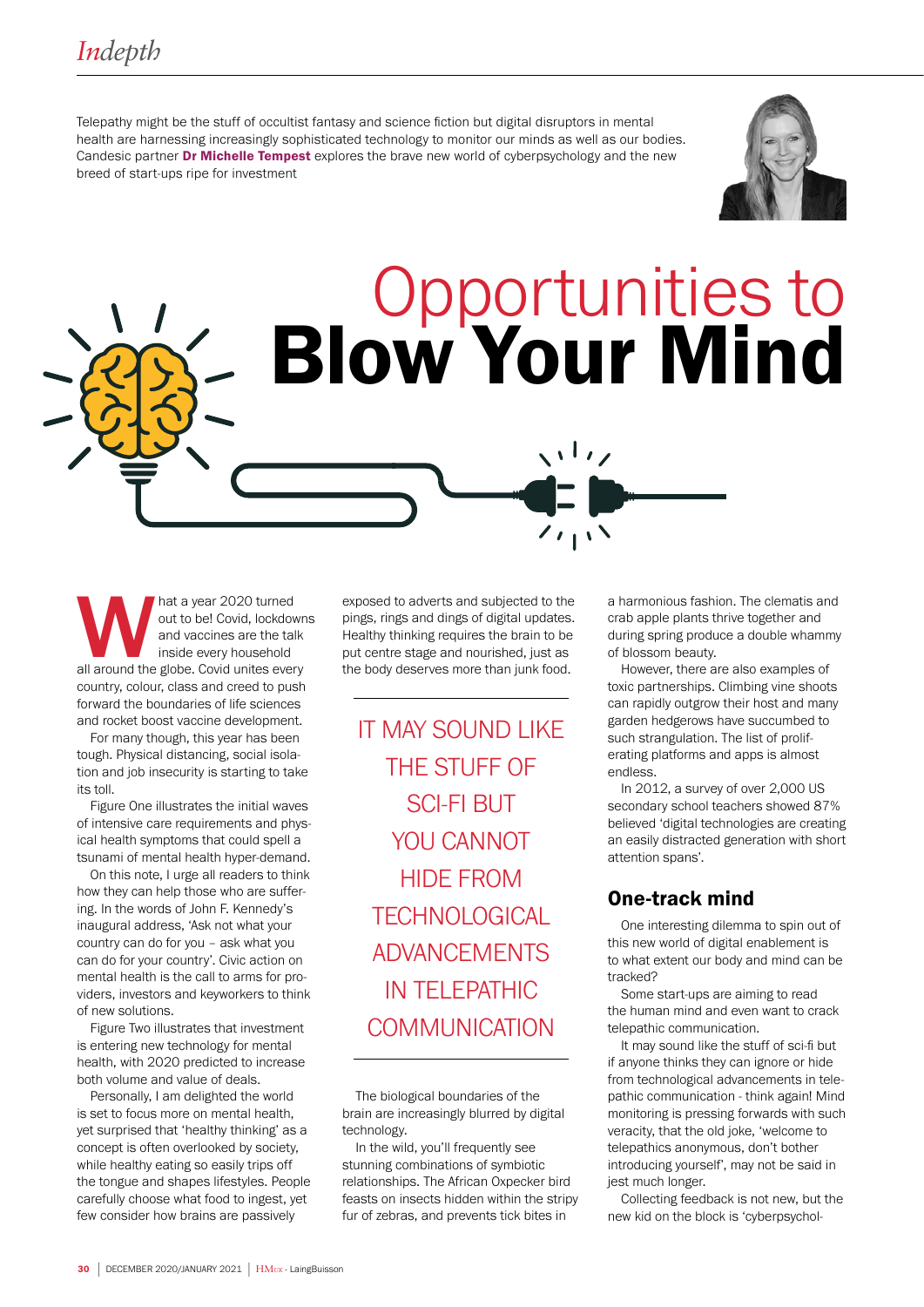Telepathy might be the stuff of occultist fantasy and science fiction but digital disruptors in mental health are harnessing increasingly sophisticated technology to monitor our minds as well as our bodies. Candesic partner **Dr Michelle Tempest** explores the brave new world of cyberpsychology and the new breed of start-ups ripe for investment



# **Opportunities to<br>Blow Your Mind**

 $\overline{\phantom{a}}$ 

hat a year 2020 turned<br>
out to be! Covid, lockdowr<br>
and vaccines are the talk<br>
inside every household<br>
all around the globe. Covid unites every out to be! Covid, lockdowns and vaccines are the talk inside every household country, colour, class and creed to push forward the boundaries of life sciences and rocket boost vaccine development.

For many though, this year has been tough. Physical distancing, social isolation and job insecurity is starting to take its toll.

Figure One illustrates the initial waves of intensive care requirements and physical health symptoms that could spell a tsunami of mental health hyper-demand.

On this note, I urge all readers to think how they can help those who are suffering. In the words of John F. Kennedy's inaugural address, 'Ask not what your country can do for you – ask what you can do for your country'. Civic action on mental health is the call to arms for providers, investors and keyworkers to think of new solutions.

Figure Two illustrates that investment is entering new technology for mental health, with 2020 predicted to increase both volume and value of deals.

Personally, I am delighted the world is set to focus more on mental health, yet surprised that 'healthy thinking' as a concept is often overlooked by society, while healthy eating so easily trips off the tongue and shapes lifestyles. People carefully choose what food to ingest, yet few consider how brains are passively

exposed to adverts and subjected to the pings, rings and dings of digital updates. Healthy thinking requires the brain to be put centre stage and nourished, just as the body deserves more than junk food.

IT MAY SOUND LIKE THE STUFF OF SCI-FI BUT YOU CANNOT HIDE FROM **TECHNOLOGICAL** ADVANCEMENTS IN TELEPATHIC COMMUNICATION

The biological boundaries of the brain are increasingly blurred by digital technology.

In the wild, you'll frequently see stunning combinations of symbiotic relationships. The African Oxpecker bird feasts on insects hidden within the stripy fur of zebras, and prevents tick bites in

a harmonious fashion. The clematis and crab apple plants thrive together and during spring produce a double whammy of blossom beauty.

However, there are also examples of toxic partnerships. Climbing vine shoots can rapidly outgrow their host and many garden hedgerows have succumbed to such strangulation. The list of proliferating platforms and apps is almost endless.

In 2012, a survey of over 2,000 US secondary school teachers showed 87% believed 'digital technologies are creating an easily distracted generation with short attention spans'.

# One-track mind

One interesting dilemma to spin out of this new world of digital enablement is to what extent our body and mind can be tracked?

Some start-ups are aiming to read the human mind and even want to crack telepathic communication.

It may sound like the stuff of sci-fi but if anyone thinks they can ignore or hide from technological advancements in telepathic communication - think again! Mind monitoring is pressing forwards with such veracity, that the old joke, 'welcome to telepathics anonymous, don't bother introducing yourself', may not be said in jest much longer.

Collecting feedback is not new, but the new kid on the block is 'cyberpsychol-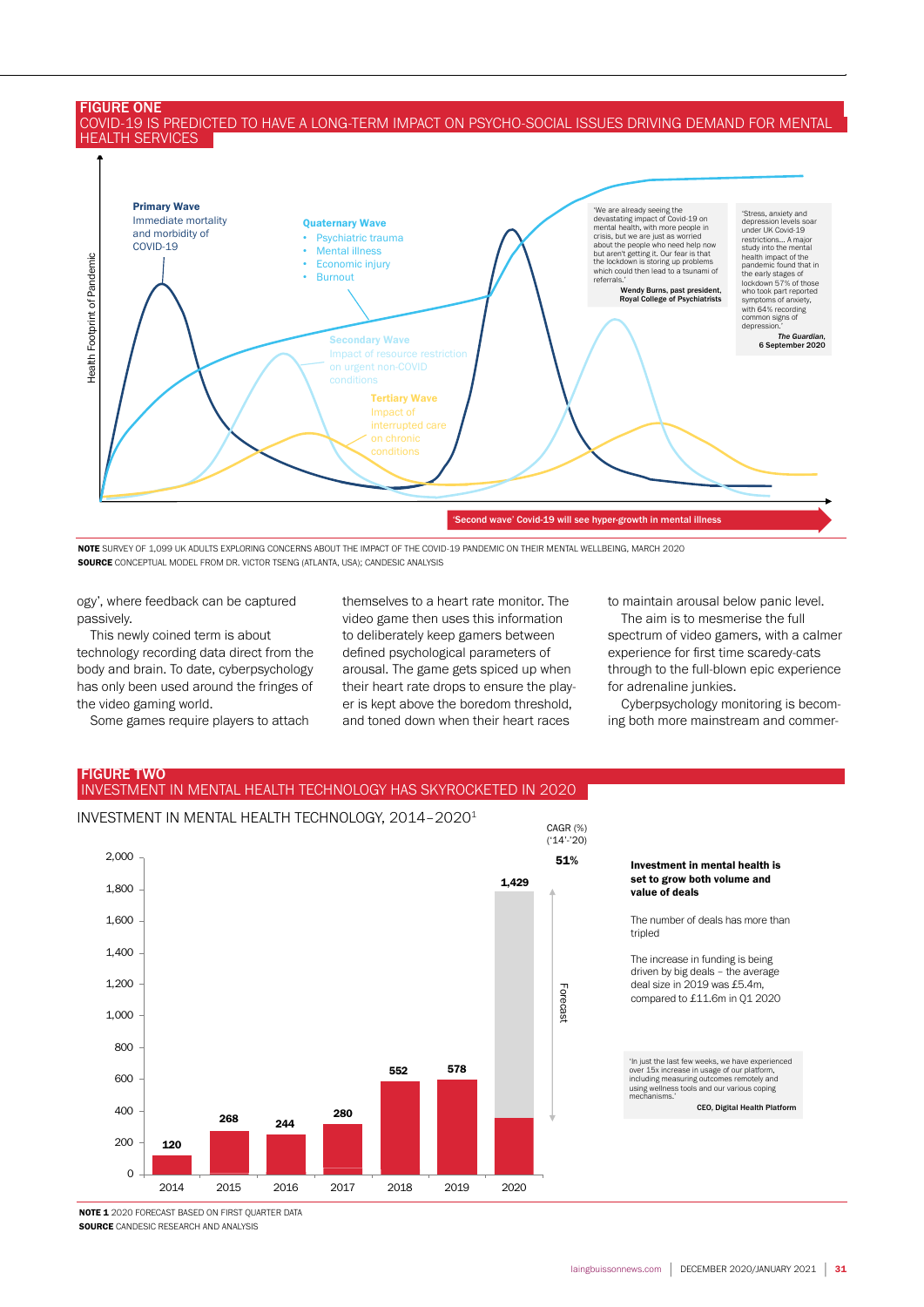#### FIGURE ONE COVID-19 IS PREDICTED TO HAVE A LONG-TERM IMPACT ON PSYCHO-SOCIAL ISSUES DRIVING DEMAND FOR MENTAL HEALTH SERVICES



NOTE SURVEY OF 1,099 UK ADULTS EXPLORING CONCERNS ABOUT THE IMPACT OF THE COVID-19 PANDEMIC ON THEIR MENTAL WELLBEING, MARCH 2020 SOURCE CONCEPTUAL MODEL FROM DR. VICTOR TSENG (ATLANTA, USA); CANDESIC ANALYSIS

ogy', where feedback can be captured passively.

This newly coined term is about technology recording data direct from the body and brain. To date, cyberpsychology has only been used around the fringes of the video gaming world.

Some games require players to attach

themselves to a heart rate monitor. The video game then uses this information to deliberately keep gamers between defined psychological parameters of arousal. The game gets spiced up when their heart rate drops to ensure the player is kept above the boredom threshold, and toned down when their heart races

to maintain arousal below panic level.

The aim is to mesmerise the full spectrum of video gamers, with a calmer experience for first time scaredy-cats through to the full-blown epic experience for adrenaline junkies.

Cyberpsychology monitoring is becoming both more mainstream and commer-

## FIGURE TWO INVESTMENT IN MENTAL HEALTH TECHNOLOGY HAS SKYROCKETED IN 2020



Investment in mental health is set to grow both volume and value of deals

The number of deals has more than tripled

The increase in funding is being driven by big deals – the average deal size in 2019 was £5.4m, compared to £11.6m in Q1 2020

'In just the last few weeks, we have experienced over 15x increase in usage of our platform, including measuring outcomes remotely and using wellness tools and our various coping mechanisms.'

CEO, Digital Health Platform

NOTE 1 2020 FORECAST BASED ON FIRST QUARTER DATA **SOURCE CANDESIC RESEARCH AND ANALYSIS**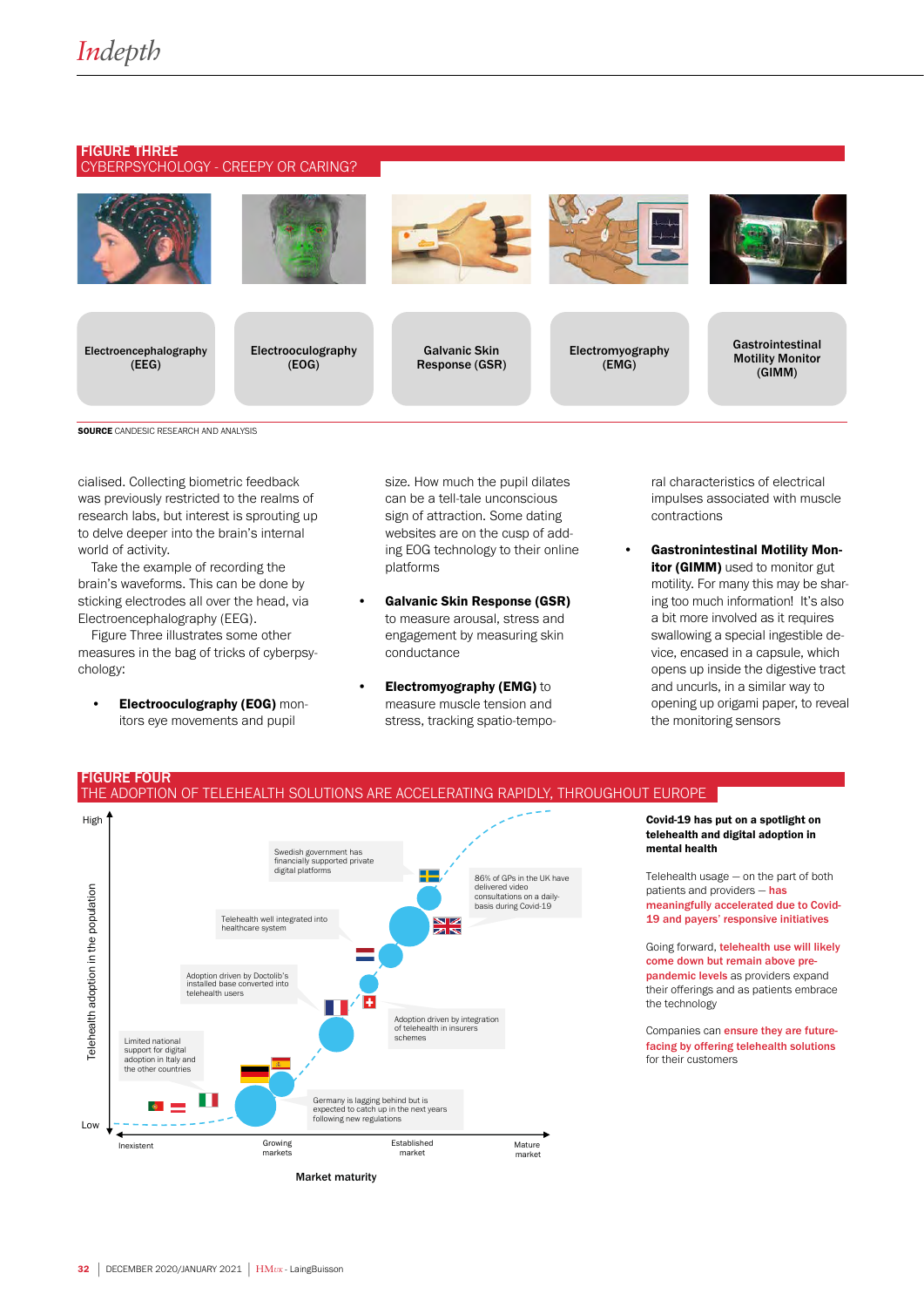#### FIGURE THREE CYBERPSYCHOLOGY - CREEPY OR CARING?



Electroencephalography (EEG)



Electrooculography (EOG)



Galvanic Skin Response (GSR)



Electromyography (EMG)



Gastrointestinal Motility Monitor (GIMM)

#### **SOURCE** CANDESIC RESEARCH AND ANALYSIS

cialised. Collecting biometric feedback was previously restricted to the realms of research labs, but interest is sprouting up to delve deeper into the brain's internal world of activity.

Take the example of recording the brain's waveforms. This can be done by sticking electrodes all over the head, via Electroencephalography (EEG).

Figure Three illustrates some other measures in the bag of tricks of cyberpsychology:

**Electrooculography (EOG) mon**itors eye movements and pupil

size. How much the pupil dilates can be a tell-tale unconscious sign of attraction. Some dating websites are on the cusp of adding EOG technology to their online platforms

- Galvanic Skin Response (GSR) to measure arousal, stress and engagement by measuring skin conductance
- Electromyography (EMG) to measure muscle tension and stress, tracking spatio-tempo-

ral characteristics of electrical impulses associated with muscle contractions

• Gastronintestinal Motility Monitor (GIMM) used to monitor gut motility. For many this may be sharing too much information! It's also a bit more involved as it requires swallowing a special ingestible device, encased in a capsule, which opens up inside the digestive tract and uncurls, in a similar way to opening up origami paper, to reveal the monitoring sensors

## FIGURE FOUR THE ADOPTION OF TELEHEALTH SOLUTIONS ARE ACCELERATING RAPIDLY, THROUGHOUT EUROPE



Covid-19 has put on a spotlight on telehealth and digital adoption in mental health

Telehealth usage — on the part of both patients and providers - has meaningfully accelerated due to Covid-19 and payers' responsive initiatives

Going forward, telehealth use will likely come down but remain above prepandemic levels as providers expand their offerings and as patients embrace the technology

Companies can ensure they are futurefacing by offering telehealth solutions for their customers